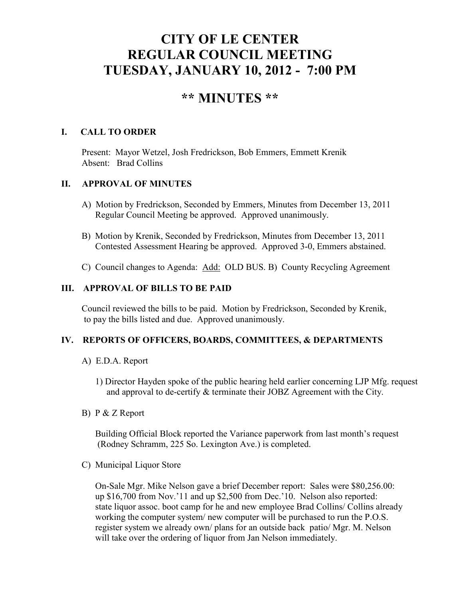# **CITY OF LE CENTER REGULAR COUNCIL MEETING TUESDAY, JANUARY 10, 2012 - 7:00 PM**

# **\*\* MINUTES \*\***

# **I. CALL TO ORDER**

Present: Mayor Wetzel, Josh Fredrickson, Bob Emmers, Emmett Krenik Absent: Brad Collins

# **II. APPROVAL OF MINUTES**

- A) Motion by Fredrickson, Seconded by Emmers, Minutes from December 13, 2011 Regular Council Meeting be approved. Approved unanimously.
- B) Motion by Krenik, Seconded by Fredrickson, Minutes from December 13, 2011 Contested Assessment Hearing be approved. Approved 3-0, Emmers abstained.
- C) Council changes to Agenda: Add: OLD BUS. B) County Recycling Agreement

## **III. APPROVAL OF BILLS TO BE PAID**

Council reviewed the bills to be paid. Motion by Fredrickson, Seconded by Krenik, to pay the bills listed and due. Approved unanimously.

## **IV. REPORTS OF OFFICERS, BOARDS, COMMITTEES, & DEPARTMENTS**

- A) E.D.A. Report
	- 1) Director Hayden spoke of the public hearing held earlier concerning LJP Mfg. request and approval to de-certify & terminate their JOBZ Agreement with the City.
- B) P & Z Report

 Building Official Block reported the Variance paperwork from last month's request (Rodney Schramm, 225 So. Lexington Ave.) is completed.

C) Municipal Liquor Store

On-Sale Mgr. Mike Nelson gave a brief December report: Sales were \$80,256.00: up \$16,700 from Nov.'11 and up \$2,500 from Dec.'10. Nelson also reported: state liquor assoc. boot camp for he and new employee Brad Collins/ Collins already working the computer system/ new computer will be purchased to run the P.O.S. register system we already own/ plans for an outside back patio/ Mgr. M. Nelson will take over the ordering of liquor from Jan Nelson immediately.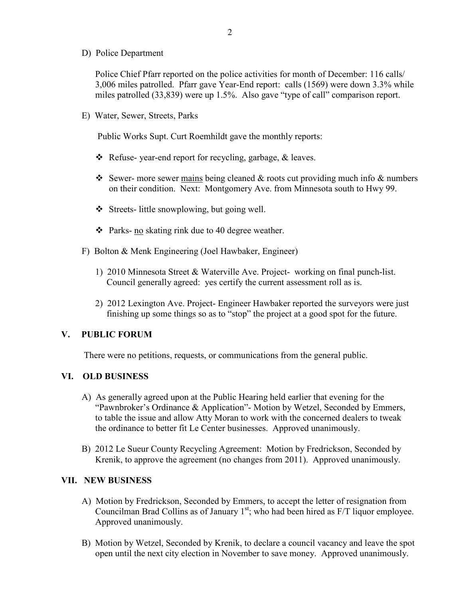D) Police Department

Police Chief Pfarr reported on the police activities for month of December: 116 calls/ 3,006 miles patrolled. Pfarr gave Year-End report: calls (1569) were down 3.3% while miles patrolled (33,839) were up 1.5%. Also gave "type of call" comparison report.

E) Water, Sewer, Streets, Parks

Public Works Supt. Curt Roemhildt gave the monthly reports:

- \* Refuse- year-end report for recycling, garbage, & leaves.
- Sewer- more sewer mains being cleaned  $&$  roots cut providing much info  $&$  numbers on their condition. Next: Montgomery Ave. from Minnesota south to Hwy 99.
- Streets- little snowplowing, but going well.
- Parks- no skating rink due to 40 degree weather.
- F) Bolton & Menk Engineering (Joel Hawbaker, Engineer)
	- 1) 2010 Minnesota Street & Waterville Ave. Project- working on final punch-list. Council generally agreed: yes certify the current assessment roll as is.
	- 2) 2012 Lexington Ave. Project- Engineer Hawbaker reported the surveyors were just finishing up some things so as to "stop" the project at a good spot for the future.

## **V. PUBLIC FORUM**

There were no petitions, requests, or communications from the general public.

#### **VI. OLD BUSINESS**

- A) As generally agreed upon at the Public Hearing held earlier that evening for the "Pawnbroker's Ordinance & Application"- Motion by Wetzel, Seconded by Emmers, to table the issue and allow Atty Moran to work with the concerned dealers to tweak the ordinance to better fit Le Center businesses. Approved unanimously.
- B) 2012 Le Sueur County Recycling Agreement: Motion by Fredrickson, Seconded by Krenik, to approve the agreement (no changes from 2011). Approved unanimously.

#### **VII. NEW BUSINESS**

- A) Motion by Fredrickson, Seconded by Emmers, to accept the letter of resignation from Councilman Brad Collins as of January  $1<sup>st</sup>$ ; who had been hired as  $F/T$  liquor employee. Approved unanimously.
- B) Motion by Wetzel, Seconded by Krenik, to declare a council vacancy and leave the spot open until the next city election in November to save money. Approved unanimously.